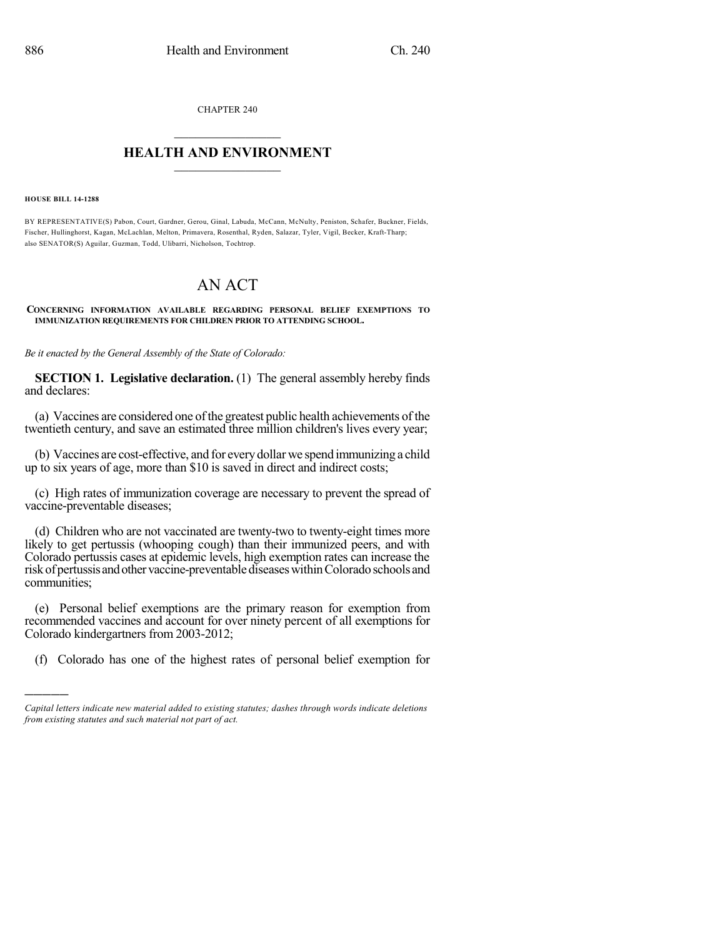CHAPTER 240  $\overline{\phantom{a}}$  . The set of the set of the set of the set of the set of the set of the set of the set of the set of the set of the set of the set of the set of the set of the set of the set of the set of the set of the set o

## **HEALTH AND ENVIRONMENT**  $\_$

#### **HOUSE BILL 14-1288**

)))))

BY REPRESENTATIVE(S) Pabon, Court, Gardner, Gerou, Ginal, Labuda, McCann, McNulty, Peniston, Schafer, Buckner, Fields, Fischer, Hullinghorst, Kagan, McLachlan, Melton, Primavera, Rosenthal, Ryden, Salazar, Tyler, Vigil, Becker, Kraft-Tharp; also SENATOR(S) Aguilar, Guzman, Todd, Ulibarri, Nicholson, Tochtrop.

# AN ACT

### **CONCERNING INFORMATION AVAILABLE REGARDING PERSONAL BELIEF EXEMPTIONS TO IMMUNIZATION REQUIREMENTS FOR CHILDREN PRIOR TO ATTENDING SCHOOL.**

*Be it enacted by the General Assembly of the State of Colorado:*

**SECTION 1. Legislative declaration.** (1) The general assembly hereby finds and declares:

(a) Vaccines are considered one ofthe greatest public health achievements of the twentieth century, and save an estimated three million children's lives every year;

(b) Vaccines are cost-effective, and for everydollar we spend immunizing a child up to six years of age, more than \$10 is saved in direct and indirect costs;

(c) High rates of immunization coverage are necessary to prevent the spread of vaccine-preventable diseases;

(d) Children who are not vaccinated are twenty-two to twenty-eight times more likely to get pertussis (whooping cough) than their immunized peers, and with Colorado pertussis cases at epidemic levels, high exemption rates can increase the risk of pertussis and other vaccine-preventable diseases within Colorado schools and communities;

(e) Personal belief exemptions are the primary reason for exemption from recommended vaccines and account for over ninety percent of all exemptions for Colorado kindergartners from 2003-2012;

(f) Colorado has one of the highest rates of personal belief exemption for

*Capital letters indicate new material added to existing statutes; dashes through words indicate deletions from existing statutes and such material not part of act.*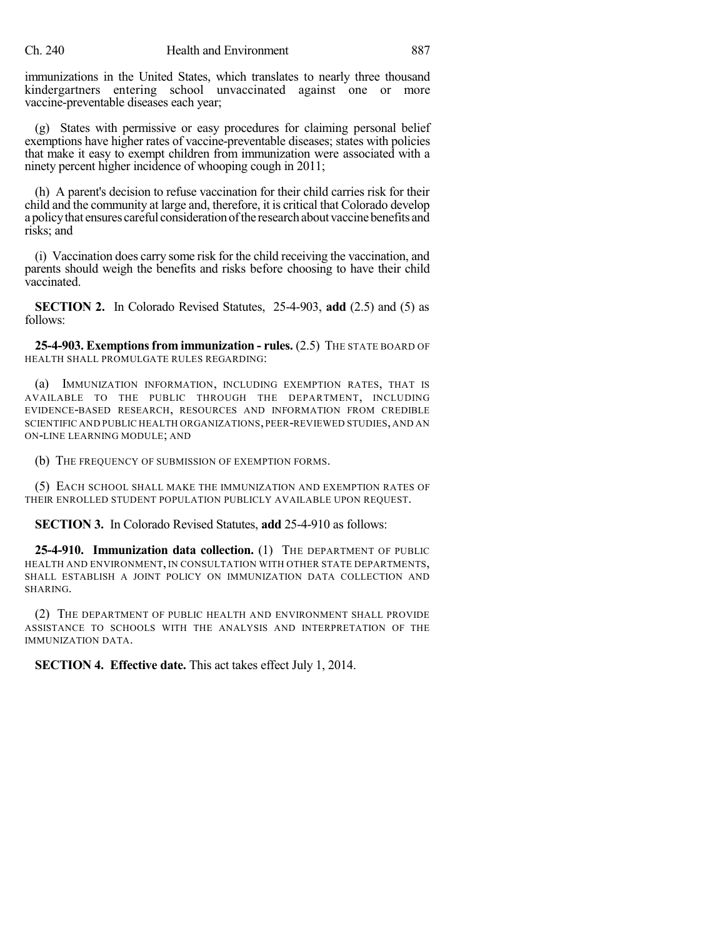immunizations in the United States, which translates to nearly three thousand kindergartners entering school unvaccinated against one or more vaccine-preventable diseases each year;

(g) States with permissive or easy procedures for claiming personal belief exemptions have higher rates of vaccine-preventable diseases; states with policies that make it easy to exempt children from immunization were associated with a ninety percent higher incidence of whooping cough in 2011;

(h) A parent's decision to refuse vaccination for their child carries risk for their child and the community at large and, therefore, it is critical that Colorado develop a policy that ensures careful consideration of the research about vaccine benefits and risks; and

(i) Vaccination does carry some risk for the child receiving the vaccination, and parents should weigh the benefits and risks before choosing to have their child vaccinated.

**SECTION 2.** In Colorado Revised Statutes, 25-4-903, **add** (2.5) and (5) as follows:

**25-4-903. Exemptionsfrom immunization - rules.** (2.5) THE STATE BOARD OF HEALTH SHALL PROMULGATE RULES REGARDING:

(a) IMMUNIZATION INFORMATION, INCLUDING EXEMPTION RATES, THAT IS AVAILABLE TO THE PUBLIC THROUGH THE DEPARTMENT, INCLUDING EVIDENCE-BASED RESEARCH, RESOURCES AND INFORMATION FROM CREDIBLE SCIENTIFIC AND PUBLIC HEALTH ORGANIZATIONS, PEER-REVIEWED STUDIES, AND AN ON-LINE LEARNING MODULE; AND

(b) THE FREQUENCY OF SUBMISSION OF EXEMPTION FORMS.

(5) EACH SCHOOL SHALL MAKE THE IMMUNIZATION AND EXEMPTION RATES OF THEIR ENROLLED STUDENT POPULATION PUBLICLY AVAILABLE UPON REQUEST.

## **SECTION 3.** In Colorado Revised Statutes, **add** 25-4-910 as follows:

**25-4-910. Immunization data collection.** (1) THE DEPARTMENT OF PUBLIC HEALTH AND ENVIRONMENT, IN CONSULTATION WITH OTHER STATE DEPARTMENTS, SHALL ESTABLISH A JOINT POLICY ON IMMUNIZATION DATA COLLECTION AND SHARING.

(2) THE DEPARTMENT OF PUBLIC HEALTH AND ENVIRONMENT SHALL PROVIDE ASSISTANCE TO SCHOOLS WITH THE ANALYSIS AND INTERPRETATION OF THE IMMUNIZATION DATA.

**SECTION 4. Effective date.** This act takes effect July 1, 2014.